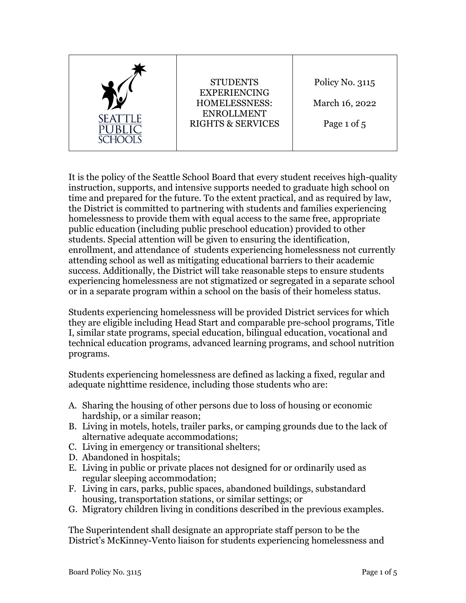| SEATTLE | <b>STUDENTS</b><br><b>EXPERIENCING</b><br><b>HOMELESSNESS:</b><br><b>ENROLLMENT</b><br><b>RIGHTS &amp; SERVICES</b> | Policy No. 3115<br>March 16, 2022<br>Page 1 of 5 |
|---------|---------------------------------------------------------------------------------------------------------------------|--------------------------------------------------|
|---------|---------------------------------------------------------------------------------------------------------------------|--------------------------------------------------|

It is the policy of the Seattle School Board that every student receives high-quality instruction, supports, and intensive supports needed to graduate high school on time and prepared for the future. To the extent practical, and as required by law, the District is committed to partnering with students and families experiencing homelessness to provide them with equal access to the same free, appropriate public education (including public preschool education) provided to other students. Special attention will be given to ensuring the identification, enrollment, and attendance of students experiencing homelessness not currently attending school as well as mitigating educational barriers to their academic success. Additionally, the District will take reasonable steps to ensure students experiencing homelessness are not stigmatized or segregated in a separate school or in a separate program within a school on the basis of their homeless status.

Students experiencing homelessness will be provided District services for which they are eligible including Head Start and comparable pre-school programs, Title I, similar state programs, special education, bilingual education, vocational and technical education programs, advanced learning programs, and school nutrition programs.

Students experiencing homelessness are defined as lacking a fixed, regular and adequate nighttime residence, including those students who are:

- A. Sharing the housing of other persons due to loss of housing or economic hardship, or a similar reason;
- B. Living in motels, hotels, trailer parks, or camping grounds due to the lack of alternative adequate accommodations;
- C. Living in emergency or transitional shelters;
- D. Abandoned in hospitals;
- E. Living in public or private places not designed for or ordinarily used as regular sleeping accommodation;
- F. Living in cars, parks, public spaces, abandoned buildings, substandard housing, transportation stations, or similar settings; or
- G. Migratory children living in conditions described in the previous examples.

The Superintendent shall designate an appropriate staff person to be the District's McKinney-Vento liaison for students experiencing homelessness and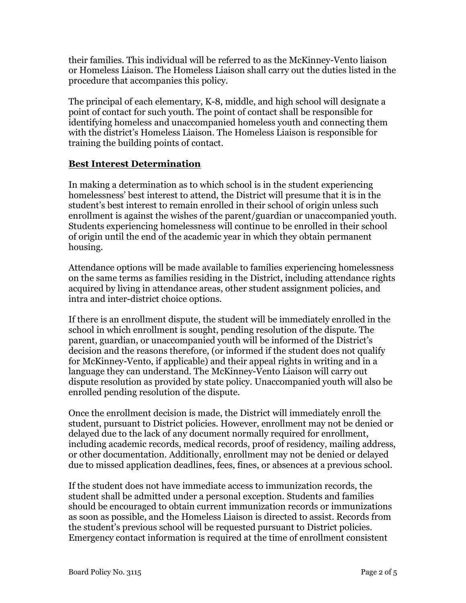their families. This individual will be referred to as the McKinney-Vento liaison or Homeless Liaison. The Homeless Liaison shall carry out the duties listed in the procedure that accompanies this policy.

The principal of each elementary, K-8, middle, and high school will designate a point of contact for such youth. The point of contact shall be responsible for identifying homeless and unaccompanied homeless youth and connecting them with the district's Homeless Liaison. The Homeless Liaison is responsible for training the building points of contact.

## **Best Interest Determination**

In making a determination as to which school is in the student experiencing homelessness' best interest to attend, the District will presume that it is in the student's best interest to remain enrolled in their school of origin unless such enrollment is against the wishes of the parent/guardian or unaccompanied youth. Students experiencing homelessness will continue to be enrolled in their school of origin until the end of the academic year in which they obtain permanent housing.

Attendance options will be made available to families experiencing homelessness on the same terms as families residing in the District, including attendance rights acquired by living in attendance areas, other student assignment policies, and intra and inter-district choice options.

If there is an enrollment dispute, the student will be immediately enrolled in the school in which enrollment is sought, pending resolution of the dispute. The parent, guardian, or unaccompanied youth will be informed of the District's decision and the reasons therefore, (or informed if the student does not qualify for McKinney-Vento, if applicable) and their appeal rights in writing and in a language they can understand. The McKinney-Vento Liaison will carry out dispute resolution as provided by state policy. Unaccompanied youth will also be enrolled pending resolution of the dispute.

Once the enrollment decision is made, the District will immediately enroll the student, pursuant to District policies. However, enrollment may not be denied or delayed due to the lack of any document normally required for enrollment, including academic records, medical records, proof of residency, mailing address, or other documentation. Additionally, enrollment may not be denied or delayed due to missed application deadlines, fees, fines, or absences at a previous school.

If the student does not have immediate access to immunization records, the student shall be admitted under a personal exception. Students and families should be encouraged to obtain current immunization records or immunizations as soon as possible, and the Homeless Liaison is directed to assist. Records from the student's previous school will be requested pursuant to District policies. Emergency contact information is required at the time of enrollment consistent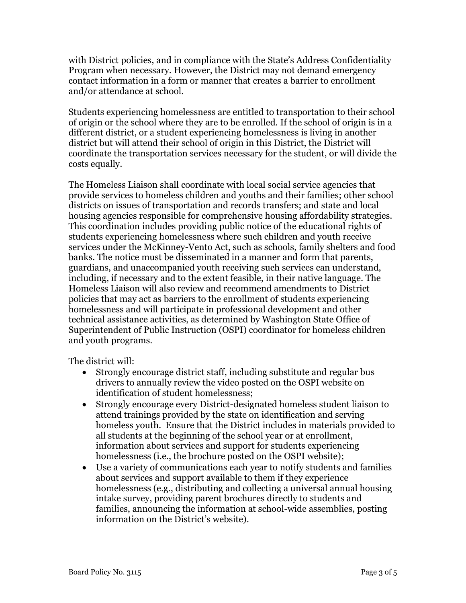with District policies, and in compliance with the State's Address Confidentiality Program when necessary. However, the District may not demand emergency contact information in a form or manner that creates a barrier to enrollment and/or attendance at school.

Students experiencing homelessness are entitled to transportation to their school of origin or the school where they are to be enrolled. If the school of origin is in a different district, or a student experiencing homelessness is living in another district but will attend their school of origin in this District, the District will coordinate the transportation services necessary for the student, or will divide the costs equally.

The Homeless Liaison shall coordinate with local social service agencies that provide services to homeless children and youths and their families; other school districts on issues of transportation and records transfers; and state and local housing agencies responsible for comprehensive housing affordability strategies. This coordination includes providing public notice of the educational rights of students experiencing homelessness where such children and youth receive services under the McKinney-Vento Act, such as schools, family shelters and food banks. The notice must be disseminated in a manner and form that parents, guardians, and unaccompanied youth receiving such services can understand, including, if necessary and to the extent feasible, in their native language. The Homeless Liaison will also review and recommend amendments to District policies that may act as barriers to the enrollment of students experiencing homelessness and will participate in professional development and other technical assistance activities, as determined by Washington State Office of Superintendent of Public Instruction (OSPI) coordinator for homeless children and youth programs.

The district will:

- Strongly encourage district staff, including substitute and regular bus drivers to annually review the video posted on the OSPI website on identification of student homelessness;
- Strongly encourage every District-designated homeless student liaison to attend trainings provided by the state on identification and serving homeless youth. Ensure that the District includes in materials provided to all students at the beginning of the school year or at enrollment, information about services and support for students experiencing homelessness (i.e., the brochure posted on the OSPI website);
- Use a variety of communications each year to notify students and families about services and support available to them if they experience homelessness (e.g., distributing and collecting a universal annual housing intake survey, providing parent brochures directly to students and families, announcing the information at school-wide assemblies, posting information on the District's website).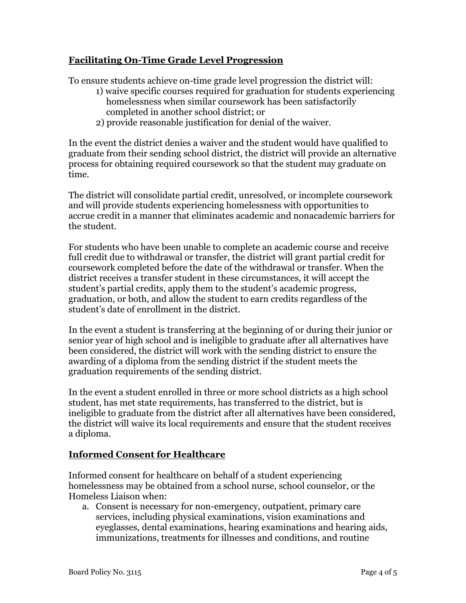## **Facilitating On-Time Grade Level Progression**

To ensure students achieve on-time grade level progression the district will:

- 1) waive specific courses required for graduation for students experiencing homelessness when similar coursework has been satisfactorily completed in another school district; or
- 2) provide reasonable justification for denial of the waiver.

In the event the district denies a waiver and the student would have qualified to graduate from their sending school district, the district will provide an alternative process for obtaining required coursework so that the student may graduate on time.

The district will consolidate partial credit, unresolved, or incomplete coursework and will provide students experiencing homelessness with opportunities to accrue credit in a manner that eliminates academic and nonacademic barriers for the student.

For students who have been unable to complete an academic course and receive full credit due to withdrawal or transfer, the district will grant partial credit for coursework completed before the date of the withdrawal or transfer. When the district receives a transfer student in these circumstances, it will accept the student's partial credits, apply them to the student's academic progress, graduation, or both, and allow the student to earn credits regardless of the student's date of enrollment in the district.

In the event a student is transferring at the beginning of or during their junior or senior year of high school and is ineligible to graduate after all alternatives have been considered, the district will work with the sending district to ensure the awarding of a diploma from the sending district if the student meets the graduation requirements of the sending district.

In the event a student enrolled in three or more school districts as a high school student, has met state requirements, has transferred to the district, but is ineligible to graduate from the district after all alternatives have been considered, the district will waive its local requirements and ensure that the student receives a diploma.

## **Informed Consent for Healthcare**

Informed consent for healthcare on behalf of a student experiencing homelessness may be obtained from a school nurse, school counselor, or the Homeless Liaison when:

a. Consent is necessary for non-emergency, outpatient, primary care services, including physical examinations, vision examinations and eyeglasses, dental examinations, hearing examinations and hearing aids, immunizations, treatments for illnesses and conditions, and routine